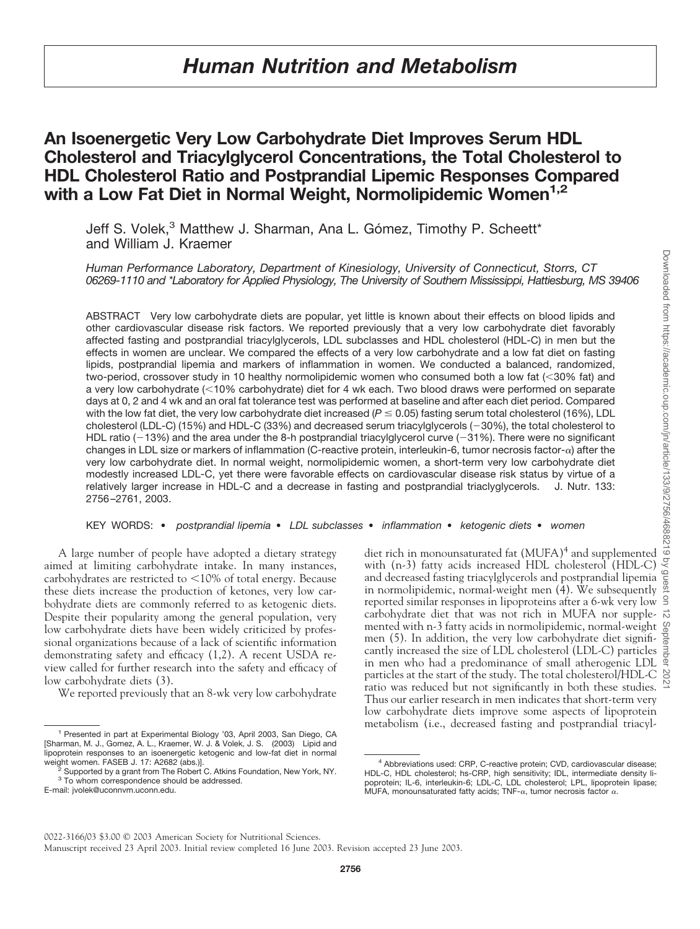# *Human Nutrition and Metabolism*

## **An Isoenergetic Very Low Carbohydrate Diet Improves Serum HDL Cholesterol and Triacylglycerol Concentrations, the Total Cholesterol to HDL Cholesterol Ratio and Postprandial Lipemic Responses Compared** with a Low Fat Diet in Normal Weight, Normolipidemic Women<sup>1,2</sup>

Jeff S. Volek,<sup>3</sup> Matthew J. Sharman, Ana L. Gómez, Timothy P. Scheett<sup>\*</sup> and William J. Kraemer

*Human Performance Laboratory, Department of Kinesiology, University of Connecticut, Storrs, CT 06269-1110 and \*Laboratory for Applied Physiology, The University of Southern Mississippi, Hattiesburg, MS 39406*

ABSTRACT Very low carbohydrate diets are popular, yet little is known about their effects on blood lipids and other cardiovascular disease risk factors. We reported previously that a very low carbohydrate diet favorably affected fasting and postprandial triacylglycerols, LDL subclasses and HDL cholesterol (HDL-C) in men but the effects in women are unclear. We compared the effects of a very low carbohydrate and a low fat diet on fasting lipids, postprandial lipemia and markers of inflammation in women. We conducted a balanced, randomized, two-period, crossover study in 10 healthy normolipidemic women who consumed both a low fat (<30% fat) and a very low carbohydrate (<10% carbohydrate) diet for 4 wk each. Two blood draws were performed on separate days at 0, 2 and 4 wk and an oral fat tolerance test was performed at baseline and after each diet period. Compared with the low fat diet, the very low carbohydrate diet increased ( $P \le 0.05$ ) fasting serum total cholesterol (16%), LDL cholesterol (LDL-C) (15%) and HDL-C (33%) and decreased serum triacylglycerols  $(-30%)$ , the total cholesterol to 30%), the total cholesterol to HDL ratio ( $-13\%$ ) and the area under the 8-h postprandial triacylglycerol curve ( $-$ 31%). There were no significant changes in LDL size or markers of inflammation (C-reactive protein, interleukin-6, tumor necrosis factor- $\alpha$ ) after the ) after the very low carbohydrate diet. In normal weight, normolipidemic women, a short-term very low carbohydrate diet modestly increased LDL-C, yet there were favorable effects on cardiovascular disease risk status by virtue of a relatively larger increase in HDL-C and a decrease in fasting and postprandial triaclyglycerols. 2756–2761, 2003.

KEY WORDS: ● *postprandial lipemia* ● *LDL subclasses* ● *inflammation* ● *ketogenic diets* ● *women*

A large number of people have adopted a dietary strategy aimed at limiting carbohydrate intake. In many instances, carbohydrates are restricted to  $\leq 10\%$  of total energy. Because these diets increase the production of ketones, very low carbohydrate diets are commonly referred to as ketogenic diets. Despite their popularity among the general population, very low carbohydrate diets have been widely criticized by professional organizations because of a lack of scientific information demonstrating safety and efficacy (1,2). A recent USDA review called for further research into the safety and efficacy of low carbohydrate diets (3).

We reported previously that an 8-wk very low carbohydrate

diet rich in monounsaturated fat (MUFA)<sup>4</sup> and supplemented with (n-3) fatty acids increased HDL cholesterol (HDL-C) and decreased fasting triacylglycerols and postprandial lipemia in normolipidemic, normal-weight men (4). We subsequently reported similar responses in lipoproteins after a 6-wk very low carbohydrate diet that was not rich in MUFA nor supple-  $\vec{p}$ mented with n-3 fatty acids in normolipidemic, normal-weight  $\frac{\omega}{n}$ men (5). In addition, the very low carbohydrate diet significantly increased the size of LDL cholesterol (LDL-C) particles in men who had a predominance of small atherogenic LDL particles at the start of the study. The total cholesterol/HDL-C  $\frac{80}{60}$ ratio was reduced but not significantly in both these studies. Thus our earlier research in men indicates that short-term very low carbohydrate diets improve some aspects of lipoprotein metabolism (i.e., decreased fasting and postprandial triacyl- <sup>1</sup> Presented in part at Experimental Biology '03, April 2003, San Diego, CA

<sup>[</sup>Sharman, M. J., Gomez, A. L., Kraemer, W. J. & Volek, J. S. (2003) Lipid and lipoprotein responses to an isoenergetic ketogenic and low-fat diet in normal

weight women. FASEB J. 17: A2682 (abs.)].<br><sup>2</sup> Supported by a grant from The Robert C. Atkins Foundation, New York, NY. <sup>3</sup> To whom correspondence should be addressed.

E-mail: jvolek@uconnvm.uconn.edu.

<sup>4</sup> Abbreviations used: CRP, C-reactive protein; CVD, cardiovascular disease; HDL-C, HDL cholesterol; hs-CRP, high sensitivity; IDL, intermediate density lipoprotein; IL-6, interleukin-6; LDL-C, LDL cholesterol; LPL, lipoprotein lipase; MUFA, monounsaturated fatty acids; TNF- $\alpha$ , tumor necrosis factor  $\alpha$ .

<sup>0022-3166/03 \$3.00 © 2003</sup> American Society for Nutritional Sciences.

Manuscript received 23 April 2003. Initial review completed 16 June 2003. Revision accepted 23 June 2003.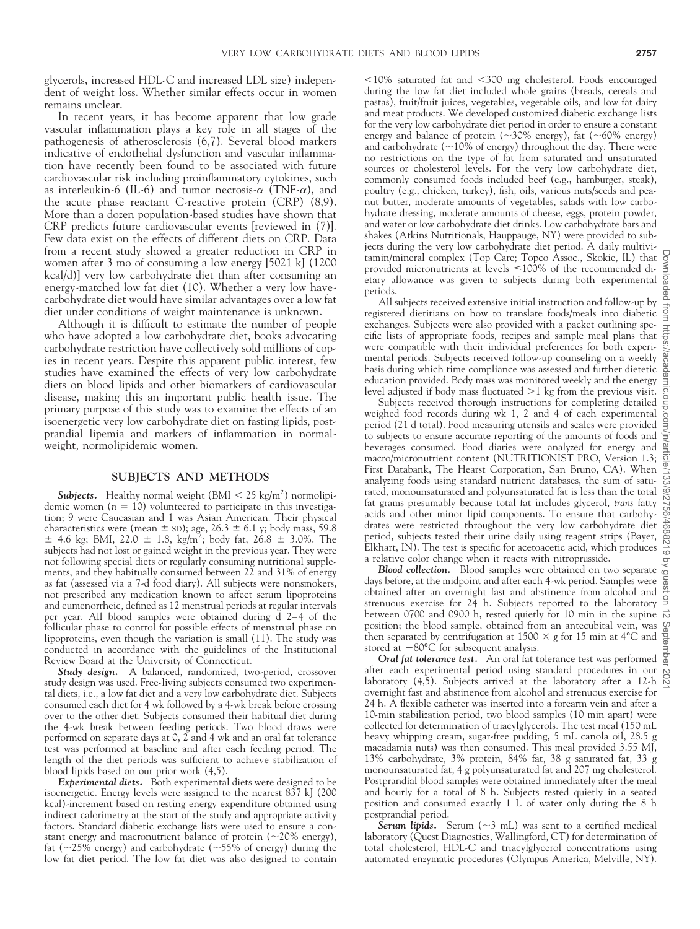glycerols, increased HDL-C and increased LDL size) independent of weight loss. Whether similar effects occur in women remains unclear.

In recent years, it has become apparent that low grade vascular inflammation plays a key role in all stages of the pathogenesis of atherosclerosis (6,7). Several blood markers indicative of endothelial dysfunction and vascular inflammation have recently been found to be associated with future cardiovascular risk including proinflammatory cytokines, such as interleukin-6 (IL-6) and tumor necrosis- $\alpha$  (TNF- $\alpha$ ), and the acute phase reactant C-reactive protein (CRP) (8,9). More than a dozen population-based studies have shown that CRP predicts future cardiovascular events [reviewed in (7)]. Few data exist on the effects of different diets on CRP. Data from a recent study showed a greater reduction in CRP in women after 3 mo of consuming a low energy [5021 kJ (1200 kcal/d)] very low carbohydrate diet than after consuming an energy-matched low fat diet (10). Whether a very low havecarbohydrate diet would have similar advantages over a low fat diet under conditions of weight maintenance is unknown.

Although it is difficult to estimate the number of people who have adopted a low carbohydrate diet, books advocating carbohydrate restriction have collectively sold millions of copies in recent years. Despite this apparent public interest, few studies have examined the effects of very low carbohydrate diets on blood lipids and other biomarkers of cardiovascular disease, making this an important public health issue. The primary purpose of this study was to examine the effects of an isoenergetic very low carbohydrate diet on fasting lipids, postprandial lipemia and markers of inflammation in normalweight, normolipidemic women.

## **SUBJECTS AND METHODS**

**Subjects.** Healthy normal weight  $(BMI < 25 \text{ kg/m}^2)$  normolipidemic women  $(n = 10)$  volunteered to participate in this investigation; 9 were Caucasian and 1 was Asian American. Their physical characteristics were (mean  $\pm$  sD); age, 26.3  $\pm$  6.1 y; body mass, 59.8  $\pm$  4.6 kg; BMI, 22.0  $\pm$  1.8, kg/m<sup>2</sup>; body fat, 26.8  $\pm$  3.0%. The subjects had not lost or gained weight in the previous year. They were not following special diets or regularly consuming nutritional supplements, and they habitually consumed between 22 and 31% of energy as fat (assessed via a 7-d food diary). All subjects were nonsmokers, not prescribed any medication known to affect serum lipoproteins and eumenorrheic, defined as 12 menstrual periods at regular intervals per year. All blood samples were obtained during d 2–4 of the follicular phase to control for possible effects of menstrual phase on lipoproteins, even though the variation is small (11). The study was conducted in accordance with the guidelines of the Institutional Review Board at the University of Connecticut.

*Study design.* A balanced, randomized, two-period, crossover study design was used. Free-living subjects consumed two experimental diets, i.e., a low fat diet and a very low carbohydrate diet. Subjects consumed each diet for 4 wk followed by a 4-wk break before crossing over to the other diet. Subjects consumed their habitual diet during the 4-wk break between feeding periods. Two blood draws were performed on separate days at  $0$ ,  $\tilde{2}$  and  $4$  wk and an oral fat tolerance test was performed at baseline and after each feeding period. The length of the diet periods was sufficient to achieve stabilization of blood lipids based on our prior work (4,5).

*Experimental diets.* Both experimental diets were designed to be isoenergetic. Energy levels were assigned to the nearest 837 kJ (200 kcal)-increment based on resting energy expenditure obtained using indirect calorimetry at the start of the study and appropriate activity factors. Standard diabetic exchange lists were used to ensure a constant energy and macronutrient balance of protein  $(\sim 20\%$  energy), fat ( $\sim$ 25% energy) and carbohydrate ( $\sim$ 55% of energy) during the low fat diet period. The low fat diet was also designed to contain

10% saturated fat and 300 mg cholesterol. Foods encouraged during the low fat diet included whole grains (breads, cereals and pastas), fruit/fruit juices, vegetables, vegetable oils, and low fat dairy and meat products. We developed customized diabetic exchange lists for the very low carbohydrate diet period in order to ensure a constant energy and balance of protein ( $\sim$ 30% energy), fat ( $\sim$ 60% energy) and carbohydrate ( $\sim$ 10% of energy) throughout the day. There were no restrictions on the type of fat from saturated and unsaturated sources or cholesterol levels. For the very low carbohydrate diet, commonly consumed foods included beef (e.g., hamburger, steak), poultry (e.g., chicken, turkey), fish, oils, various nuts/seeds and peanut butter, moderate amounts of vegetables, salads with low carbohydrate dressing, moderate amounts of cheese, eggs, protein powder, and water or low carbohydrate diet drinks. Low carbohydrate bars and shakes (Atkins Nutritionals, Hauppauge, NY) were provided to subjects during the very low carbohydrate diet period. A daily multivitamin/mineral complex (Top Care; Topco Assoc., Skokie, IL) that provided micronutrients at levels  $\leq$ 100% of the recommended dietary allowance was given to subjects during both experimental periods.

All subjects received extensive initial instruction and follow-up by registered dietitians on how to translate foods/meals into diabetic exchanges. Subjects were also provided with a packet outlining specific lists of appropriate foods, recipes and sample meal plans that were compatible with their individual preferences for both experimental periods. Subjects received follow-up counseling on a weekly basis during which time compliance was assessed and further dietetic education provided. Body mass was monitored weekly and the energy level adjusted if body mass fluctuated  $>1$  kg from the previous visit.

Et adjusted in body mass inicidated  $>1$  kg from the previous visit.<br>Subjects received thorough instructions for completing detailed  $\frac{8}{5}$ weighed food records during wk 1, 2 and 4 of each experimental weighed food records during wk 1, 2 and 4 of each experimental  $\frac{1}{9}$  period (21 d total). Food measuring utensils and scales were provided  $\frac{3}{5}$ to subjects to ensure accurate reporting of the amounts of foods and beverages consumed. Food diaries were analyzed for energy and macro/micronutrient content (NUTRITIONIST PRO, Version 1.3; First Databank, The Hearst Corporation, San Bruno, CA). When analyzing foods using standard nutrient databases, the sum of saturated, monounsaturated and polyunsaturated fat is less than the total fat grams presumably because total fat includes glycerol, *trans* fatty acids and other minor lipid components. To ensure that carbohydrates were restricted throughout the very low carbohydrate diet period, subjects tested their urine daily using reagent strips (Bayer, Elkhart, IN). The test is specific for acetoacetic acid, which produces a relative color change when it reacts with nitroprusside.

*Blood collection.* Blood samples were obtained on two separate days before, at the midpoint and after each 4-wk period. Samples were obtained after an overnight fast and abstinence from alcohol and strenuous exercise for 24 h. Subjects reported to the laboratory between 0700 and 0900 h, rested quietly for 10 min in the supine  $\vec{\omega}$ position; the blood sample, obtained from an antecubital vein, was then separated by centrifugation at 1500 *g* for 15 min at 4°C and stored at  $-80^{\circ}$ C for subsequent analysis.

*Oral fat tolerance test.* An oral fat tolerance test was performed after each experimental period using standard procedures in our laboratory (4,5). Subjects arrived at the laboratory after a 12-h overnight fast and abstinence from alcohol and strenuous exercise for 24 h. A flexible catheter was inserted into a forearm vein and after a 10-min stabilization period, two blood samples (10 min apart) were collected for determination of triacylglycerols. The test meal (150 mL heavy whipping cream, sugar-free pudding, 5 mL canola oil, 28.5 g macadamia nuts) was then consumed. This meal provided 3.55 MJ, 13% carbohydrate, 3% protein, 84% fat, 38 g saturated fat, 33 g monounsaturated fat, 4 g polyunsaturated fat and 207 mg cholesterol. Postprandial blood samples were obtained immediately after the meal and hourly for a total of 8 h. Subjects rested quietly in a seated position and consumed exactly 1 L of water only during the 8 h postprandial period.

 $Serum lipids.$  Serum  $(\sim 3 \text{ mL})$  was sent to a certified medical laboratory (Quest Diagnostics, Wallingford, CT) for determination of total cholesterol, HDL-C and triacylglycerol concentrations using automated enzymatic procedures (Olympus America, Melville, NY).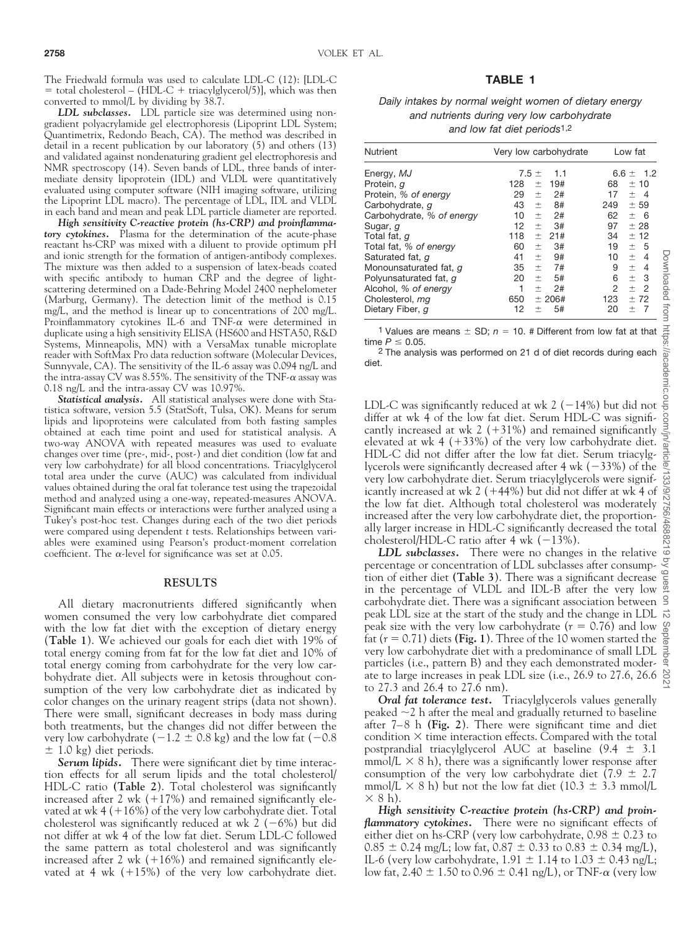The Friedwald formula was used to calculate LDL-C (12): [LDL-C  $t =$  total cholesterol – (HDL-C + triacylglycerol/5)], which was then converted to mmol/L by dividing by 38.7.

*LDL subclasses.* LDL particle size was determined using nongradient polyacrylamide gel electrophoresis (Lipoprint LDL System; Quantimetrix, Redondo Beach, CA). The method was described in detail in a recent publication by our laboratory (5) and others (13) and validated against nondenaturing gradient gel electrophoresis and NMR spectroscopy (14). Seven bands of LDL, three bands of intermediate density lipoprotein (IDL) and VLDL were quantitatively evaluated using computer software (NIH imaging software, utilizing the Lipoprint LDL macro). The percentage of LDL, IDL and VLDL in each band and mean and peak LDL particle diameter are reported.

*High sensitivity C-reactive protein (hs-CRP) and proinflammatory cytokines.* Plasma for the determination of the acute-phase reactant hs-CRP was mixed with a diluent to provide optimum pH and ionic strength for the formation of antigen-antibody complexes. The mixture was then added to a suspension of latex-beads coated with specific antibody to human CRP and the degree of lightscattering determined on a Dade-Behring Model 2400 nephelometer (Marburg, Germany). The detection limit of the method is 0.15 mg/L, and the method is linear up to concentrations of 200 mg/L. Proinflammatory cytokines IL-6 and  $\text{TNF-}\alpha$  were determined in duplicate using a high sensitivity ELISA (HS600 and HSTA50, R&D Systems, Minneapolis, MN) with a VersaMax tunable microplate reader with SoftMax Pro data reduction software (Molecular Devices, Sunnyvale, CA). The sensitivity of the IL-6 assay was 0.094 ng/L and the intra-assay CV was 8.55%. The sensitivity of the TNF- $\alpha$  assay was 0.18 ng/L and the intra-assay CV was 10.97%.

*Statistical analysis.* All statistical analyses were done with Statistica software, version 5.5 (StatSoft, Tulsa, OK). Means for serum lipids and lipoproteins were calculated from both fasting samples obtained at each time point and used for statistical analysis. A two-way ANOVA with repeated measures was used to evaluate changes over time (pre-, mid-, post-) and diet condition (low fat and very low carbohydrate) for all blood concentrations. Triacylglycerol total area under the curve (AUC) was calculated from individual values obtained during the oral fat tolerance test using the trapezoidal method and analyzed using a one-way, repeated-measures ANOVA. Significant main effects or interactions were further analyzed using a Tukey's post-hoc test. Changes during each of the two diet periods were compared using dependent *t* tests. Relationships between variables were examined using Pearson's product-moment correlation coefficient. The  $\alpha$ -level for significance was set at 0.05.

### **RESULTS**

All dietary macronutrients differed significantly when women consumed the very low carbohydrate diet compared with the low fat diet with the exception of dietary energy (**Table 1**). We achieved our goals for each diet with 19% of total energy coming from fat for the low fat diet and 10% of total energy coming from carbohydrate for the very low carbohydrate diet. All subjects were in ketosis throughout consumption of the very low carbohydrate diet as indicated by color changes on the urinary reagent strips (data not shown). There were small, significant decreases in body mass during both treatments, but the changes did not differ between the very low carbohydrate  $(-1.2 \pm 0.8 \text{ kg})$  and the low fat  $(-0.8$  $\pm$  1.0 kg) diet periods.

*Serum lipids.* There were significant diet by time interaction effects for all serum lipids and the total cholesterol/ HDL-C ratio **(Table 2**). Total cholesterol was significantly increased after 2 wk  $(+17%)$  and remained significantly elevated at wk  $4 (+16%)$  of the very low carbohydrate diet. Total cholesterol was significantly reduced at wk  $2(-6%)$  but did not differ at wk 4 of the low fat diet. Serum LDL-C followed the same pattern as total cholesterol and was significantly increased after 2 wk  $(+16%)$  and remained significantly elevated at 4 wk  $(+15%)$  of the very low carbohydrate diet.

## **TABLE 1**

*Daily intakes by normal weight women of dietary energy and nutrients during very low carbohydrate and low fat diet periods*1,2

| Nutrient                  |           | Very low carbohydrate | Low fat                       |
|---------------------------|-----------|-----------------------|-------------------------------|
| Energy, MJ                | $7.5 \pm$ | 1.1                   | $6.6 \pm 1.2$                 |
| Protein, q                | 128<br>土  | 19#                   | 68<br>±10                     |
| Protein, % of energy      | 29<br>土   | 2#                    | 17<br>± 4                     |
| Carbohydrate, q           | 43<br>土   | 8#                    | 249<br>± 59                   |
| Carbohydrate, % of energy | 10<br>土   | 2#                    | 62<br>± 6                     |
| Sugar, g                  | 12<br>土   | 3#                    | 97<br>± 28                    |
| Total fat, g              | 118<br>土  | 21#                   | ± 12<br>34                    |
| Total fat, % of energy    | 60<br>土   | 3#                    | 19<br>- 5<br>土                |
| Saturated fat, q          | 41<br>土   | 9#                    | $\overline{4}$<br>10<br>$\pm$ |
| Monounsaturated fat, q    | 35<br>土   | 7#                    | 9<br>土<br>$\overline{4}$      |
| Polyunsaturated fat, q    | 20<br>土   | 5#                    | 6<br>- 3<br>土                 |
| Alcohol, % of energy      | 1<br>土    | 2#                    | 2<br>- 2<br>土                 |
| Cholesterol, mg           | 650       | ± 206#                | 123<br>±72                    |
| Dietary Fiber, g          | 12<br>土   | 5#                    | 20<br>$\overline{7}$<br>土     |

1 Values are means  $\pm$  SD;  $n = 10$ . # Different from low fat at that time  $P \leq 0.05$ .

2 The analysis was performed on 21 d of diet records during each diet.

LDL-C was significantly reduced at wk 2  $(-14\%)$  but did not differ at wk 4 of the low fat diet. Serum HDL-C was significantly increased at wk 2  $(+31%)$  and remained significantly elevated at wk 4  $(+33%)$  of the very low carbohydrate diet. HDL-C did not differ after the low fat diet. Serum triacylglycerols were significantly decreased after  $4 \text{ wk } (-33\%)$  of the very low carbohydrate diet. Serum triacylglycerols were significantly increased at wk 2 (+44%) but did not differ at wk 4 of the low fat diet. Although total cholesterol was moderately increased after the very low carbohydrate diet, the proportionally larger increase in HDL-C significantly decreased the total cholesterol/HDL-C ratio after  $4 \text{ wk } (-13\%).$ 

*LDL subclasses.* There were no changes in the relative percentage or concentration of LDL subclasses after consumption of either diet **(Table 3)**. There was a significant decrease  $\frac{6}{5}$  in the percentage of VLDL and IDL-B after the very low in the percentage of VLDL and IDL-B after the very low carbohydrate diet. There was a significant association between peak LDL size at the start of the study and the change in LDL peak size with the very low carbohydrate  $(r = 0.76)$  and low fat (*r* 0.71) diets **(Fig. 1**). Three of the 10 women started the very low carbohydrate diet with a predominance of small LDL particles (i.e., pattern B) and they each demonstrated moderate to large increases in peak LDL size (i.e., 26.9 to 27.6, 26.6  $\frac{8}{60}$ to 27.3 and 26.4 to 27.6 nm).

**Oral fat tolerance test.** Triacylglycerols values generally peaked  $\sim$ 2 h after the meal and gradually returned to baseline after 7–8 h **(Fig. 2**). There were significant time and diet condition  $\times$  time interaction effects. Compared with the total postprandial triacylglycerol AUC at baseline  $(9.4 \pm 3.1)$  $mmol/L \times 8 h$ , there was a significantly lower response after consumption of the very low carbohydrate diet (7.9  $\pm$  2.7 mmol/L  $\times$  8 h) but not the low fat diet (10.3  $\pm$  3.3 mmol/L  $\times$  8 h).

*High sensitivity C-reactive protein (hs-CRP) and proinflammatory cytokines.* There were no significant effects of either diet on hs-CRP (very low carbohydrate,  $0.98 \pm 0.23$  to  $0.85 \pm 0.24$  mg/L; low fat,  $0.87 \pm 0.33$  to  $0.83 \pm 0.34$  mg/L), IL-6 (very low carbohydrate,  $1.91 \pm 1.14$  to  $1.03 \pm 0.43$  ng/L; low fat, 2.40  $\pm$  1.50 to 0.96  $\pm$  0.41 ng/L), or TNF- $\alpha$  (very low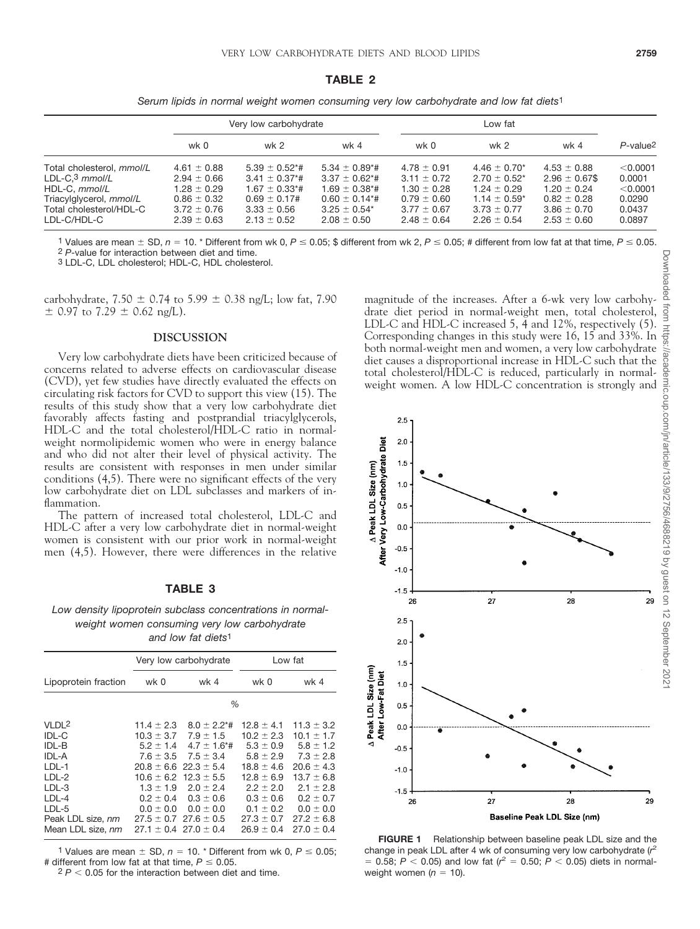*Serum lipids in normal weight women consuming very low carbohydrate and low fat diets*1

|                           |                 | Very low carbohydrate          |                                |                 | Low fat           |                    |                |
|---------------------------|-----------------|--------------------------------|--------------------------------|-----------------|-------------------|--------------------|----------------|
|                           | wk 0            | wk 2                           | wk 4                           | wk 0            | wk 2              | wk 4               | $P$ -value $2$ |
| Total cholesterol, mmol/L | $4.61 \pm 0.88$ | $5.39 \pm 0.52$ <sup>*</sup> # | $5.34 \pm 0.89^*$ #            | $4.78 \pm 0.91$ | $4.46 \pm 0.70^*$ | $4.53 \pm 0.88$    | < 0.0001       |
| $LDL-C3$ mmol/L           | $2.94 \pm 0.66$ | $3.41 \pm 0.37$ <sup>*</sup> # | $3.37 \pm 0.62$ <sup>*</sup> # | $3.11 \pm 0.72$ | $2.70 \pm 0.52^*$ | $2.96 \pm 0.67$ \$ | 0.0001         |
| HDL-C, mmol/L             | $1.28 \pm 0.29$ | $1.67 \pm 0.33$ <sup>*</sup> # | $1.69 \pm 0.38$ <sup>*</sup> # | $1.30 \pm 0.28$ | $1.24 \pm 0.29$   | $1.20 \pm 0.24$    | < 0.0001       |
| Triacylglycerol, mmol/L   | $0.86 \pm 0.32$ | $0.69 \pm 0.17$ #              | $0.60 \pm 0.14$ <sup>*</sup> # | $0.79 \pm 0.60$ | $1.14 \pm 0.59^*$ | $0.82 \pm 0.28$    | 0.0290         |
| Total cholesterol/HDL-C   | $3.72 \pm 0.76$ | $3.33 \pm 0.56$                | $3.25 \pm 0.54^*$              | $3.77 \pm 0.67$ | $3.73 \pm 0.77$   | $3.86 \pm 0.70$    | 0.0437         |
| LDL-C/HDL-C               | $2.39 \pm 0.63$ | $2.13 \pm 0.52$                | $2.08 \pm 0.50$                | $2.48 \pm 0.64$ | $2.26 \pm 0.54$   | $2.53 \pm 0.60$    | 0.0897         |

1 Values are mean  $\pm$  SD,  $n = 10$ . \* Different from wk 0,  $P \le 0.05$ ; \$ different from wk 2,  $P \le 0.05$ ; # different from low fat at that time,  $P \le 0.05$ . 2 *P*-value for interaction between diet and time.

3 LDL-C, LDL cholesterol; HDL-C, HDL cholesterol.

carbohydrate,  $7.50 \pm 0.74$  to  $5.99 \pm 0.38$  ng/L; low fat, 7.90  $\pm$  0.97 to 7.29  $\pm$  0.62 ng/L).

## **DISCUSSION**

Very low carbohydrate diets have been criticized because of concerns related to adverse effects on cardiovascular disease (CVD), yet few studies have directly evaluated the effects on circulating risk factors for CVD to support this view (15). The results of this study show that a very low carbohydrate diet favorably affects fasting and postprandial triacylglycerols, HDL-C and the total cholesterol/HDL-C ratio in normalweight normolipidemic women who were in energy balance and who did not alter their level of physical activity. The results are consistent with responses in men under similar conditions (4,5). There were no significant effects of the very low carbohydrate diet on LDL subclasses and markers of inflammation.

The pattern of increased total cholesterol, LDL-C and HDL-C after a very low carbohydrate diet in normal-weight women is consistent with our prior work in normal-weight men (4,5). However, there were differences in the relative

## **TABLE 3**

*Low density lipoprotein subclass concentrations in normalweight women consuming very low carbohydrate and low fat diets*1

|                      |                | Very low carbohydrate         | Low fat        |                |  |  |
|----------------------|----------------|-------------------------------|----------------|----------------|--|--|
| Lipoprotein fraction | wk 0           | wk 4                          | wk 0           | wk 4           |  |  |
|                      | $\%$           |                               |                |                |  |  |
| VLDL <sup>2</sup>    | $11.4 \pm 2.3$ | $8.0 \pm 2.2$ <sup>*</sup> #  | $12.8 \pm 4.1$ | $11.3 \pm 3.2$ |  |  |
| IDL-C                | $10.3 \pm 3.7$ | $7.9 \pm 1.5$                 | $10.2 \pm 2.3$ | $10.1 \pm 1.7$ |  |  |
| IDL-B                | $5.2 \pm 1.4$  | $4.7 \pm 1.6$ *#              | $5.3 \pm 0.9$  | $5.8 \pm 1.2$  |  |  |
| <b>IDL-A</b>         | $7.6 \pm 3.5$  | $7.5 \pm 3.4$                 | $5.8 \pm 2.9$  | $7.3 \pm 2.8$  |  |  |
| LDL-1                |                | $20.8 \pm 6.6$ 22.3 $\pm$ 5.4 | $18.8 \pm 4.6$ | $20.6 \pm 4.3$ |  |  |
| LDL-2                |                | $10.6 \pm 6.2$ 12.3 $\pm$ 5.5 | $12.8 \pm 6.9$ | $13.7 \pm 6.8$ |  |  |
| $LDL-3$              | $1.3 \pm 1.9$  | $2.0 \pm 2.4$                 | $2.2 \pm 2.0$  | $2.1 \pm 2.8$  |  |  |
| LDL-4                | $0.2 \pm 0.4$  | $0.3 \pm 0.6$                 | $0.3 \pm 0.6$  | $0.2 \pm 0.7$  |  |  |
| LDL-5                | $0.0 \pm 0.0$  | $0.0 \pm 0.0$                 | $0.1 \pm 0.2$  | $0.0 \pm 0.0$  |  |  |
| Peak LDL size, nm    |                | $27.5 \pm 0.7$ 27.6 $\pm$ 0.5 | $27.3 \pm 0.7$ | $27.2 \pm 6.8$ |  |  |
| Mean LDL size, nm    |                | $27.1 \pm 0.4$ 27.0 $\pm$ 0.4 | $26.9 \pm 0.4$ | $27.0 \pm 0.4$ |  |  |

1 Values are mean  $\pm$  SD,  $n = 10$ . \* Different from wk 0,  $P \le 0.05$ ; # different from low fat at that time,  $P \leq 0.05$ .

 $2 P < 0.05$  for the interaction between diet and time.

magnitude of the increases. After a 6-wk very low carbohydrate diet period in normal-weight men, total cholesterol, LDL-C and HDL-C increased 5, 4 and 12%, respectively (5). Corresponding changes in this study were 16, 15 and 33%. In both normal-weight men and women, a very low carbohydrate diet causes a disproportional increase in HDL-C such that the total cholesterol/HDL-C is reduced, particularly in normalweight women. A low HDL-C concentration is strongly and



**FIGURE 1** Relationship between baseline peak LDL size and the change in peak LDL after 4 wk of consuming very low carbohydrate (*r* 2  $= 0.58; P < 0.05$ ) and low fat ( $r^2 = 0.50; P < 0.05$ ) diets in normalweight women  $(n = 10)$ .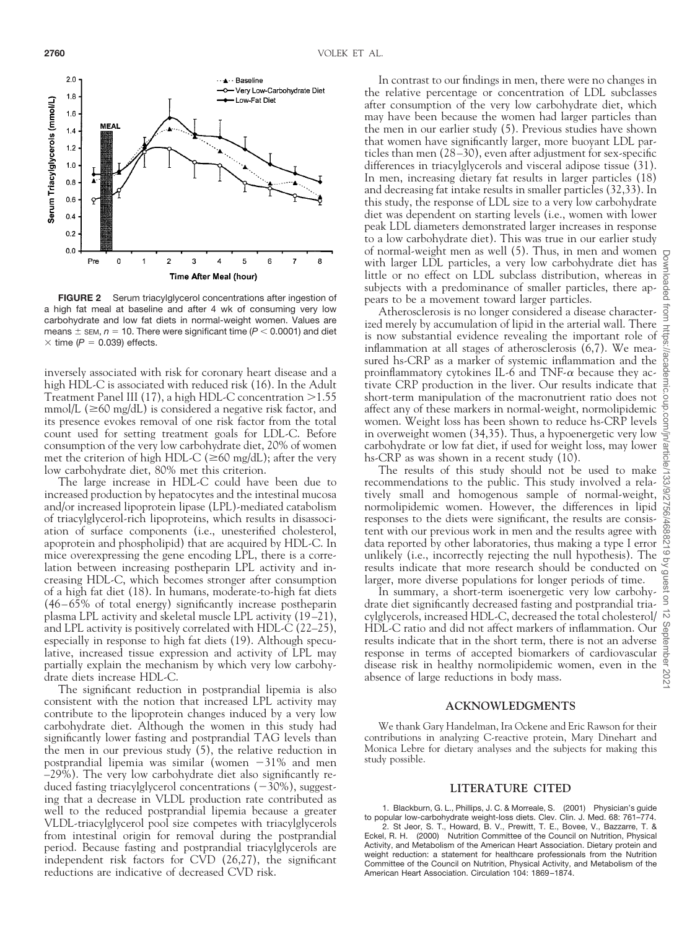

**FIGURE 2** Serum triacylglycerol concentrations after ingestion of a high fat meal at baseline and after 4 wk of consuming very low carbohydrate and low fat diets in normal-weight women. Values are means  $\pm$  sem,  $n = 10$ . There were significant time ( $P < 0.0001$ ) and diet  $\times$  time ( $P = 0.039$ ) effects.

inversely associated with risk for coronary heart disease and a high HDL-C is associated with reduced risk (16). In the Adult Treatment Panel III (17), a high HDL-C concentration  $>1.55$  $mmol/L$  ( $\geq 60$  mg/dL) is considered a negative risk factor, and its presence evokes removal of one risk factor from the total count used for setting treatment goals for LDL-C. Before consumption of the very low carbohydrate diet, 20% of women met the criterion of high HDL-C ( $\geq 60$  mg/dL); after the very low carbohydrate diet, 80% met this criterion.

The large increase in HDL-C could have been due to increased production by hepatocytes and the intestinal mucosa and/or increased lipoprotein lipase (LPL)-mediated catabolism of triacylglycerol-rich lipoproteins, which results in disassociation of surface components (i.e., unesterified cholesterol, apoprotein and phospholipid) that are acquired by HDL-C. In mice overexpressing the gene encoding LPL, there is a correlation between increasing postheparin LPL activity and increasing HDL-C, which becomes stronger after consumption of a high fat diet (18). In humans, moderate-to-high fat diets (46–65% of total energy) significantly increase postheparin plasma LPL activity and skeletal muscle LPL activity (19–21), and LPL activity is positively correlated with HDL-C (22–25), especially in response to high fat diets (19). Although speculative, increased tissue expression and activity of LPL may partially explain the mechanism by which very low carbohydrate diets increase HDL-C.

The significant reduction in postprandial lipemia is also consistent with the notion that increased LPL activity may contribute to the lipoprotein changes induced by a very low carbohydrate diet. Although the women in this study had significantly lower fasting and postprandial TAG levels than the men in our previous study (5), the relative reduction in postprandial lipemia was similar (women -31% and men –29%). The very low carbohydrate diet also significantly reduced fasting triacylglycerol concentrations (-30%), suggesting that a decrease in VLDL production rate contributed as well to the reduced postprandial lipemia because a greater VLDL-triacylglycerol pool size competes with triacylglycerols from intestinal origin for removal during the postprandial period. Because fasting and postprandial triacylglycerols are independent risk factors for CVD (26,27), the significant reductions are indicative of decreased CVD risk.

In contrast to our findings in men, there were no changes in the relative percentage or concentration of LDL subclasses after consumption of the very low carbohydrate diet, which may have been because the women had larger particles than the men in our earlier study (5). Previous studies have shown that women have significantly larger, more buoyant LDL particles than men (28–30), even after adjustment for sex-specific differences in triacylglycerols and visceral adipose tissue (31). In men, increasing dietary fat results in larger particles (18) and decreasing fat intake results in smaller particles (32,33). In this study, the response of LDL size to a very low carbohydrate diet was dependent on starting levels (i.e., women with lower peak LDL diameters demonstrated larger increases in response to a low carbohydrate diet). This was true in our earlier study of normal-weight men as well (5). Thus, in men and women with larger LDL particles, a very low carbohydrate diet has little or no effect on LDL subclass distribution, whereas in subjects with a predominance of smaller particles, there appears to be a movement toward larger particles.

Atherosclerosis is no longer considered a disease characterized merely by accumulation of lipid in the arterial wall. There ized merely by accumulation of lipid in the arterial wall. I here  $\frac{1}{2}$  is now substantial evidence revealing the important role of  $\frac{1}{6}$ inflammation at all stages of atherosclerosis (6,7). We measured hs-CRP as a marker of systemic inflammation and the proinflammatory cytokines IL-6 and TNF- $\alpha$  because they activate CRP production in the liver. Our results indicate that short-term manipulation of the macronutrient ratio does not  $\frac{5}{2}$  short-term manipulation of the macronutrient ratio does not  $\frac{5}{2}$ affect any of these markers in normal-weight, normolipidemic women. Weight loss has been shown to reduce hs-CRP levels in overweight women (34,35). Thus, a hypoenergetic very low carbohydrate or low fat diet, if used for weight loss, may lower hs-CRP as was shown in a recent study (10).

The results of this study should not be used to make recommendations to the public. This study involved a relatively small and homogenous sample of normal-weight, normolipidemic women. However, the differences in lipid responses to the diets were significant, the results are consistent with our previous work in men and the results agree with data reported by other laboratories, thus making a type I error unlikely (i.e., incorrectly rejecting the null hypothesis). The results indicate that more research should be conducted on larger, more diverse populations for longer periods of time.

In summary, a short-term isoenergetic very low carbohydrate diet significantly decreased fasting and postprandial triacylglycerols, increased HDL-C, decreased the total cholesterol/ HDL-C ratio and did not affect markers of inflammation. Our results indicate that in the short term, there is not an adverse response in terms of accepted biomarkers of cardiovascular disease risk in healthy normolipidemic women, even in the absence of large reductions in body mass.

## **ACKNOWLEDGMENTS**

We thank Gary Handelman, Ira Ockene and Eric Rawson for their contributions in analyzing C-reactive protein, Mary Dinehart and Monica Lebre for dietary analyses and the subjects for making this study possible.

### **LITERATURE CITED**

1. Blackburn, G. L., Phillips, J. C. & Morreale, S. (2001) Physician's guide to popular low-carbohydrate weight-loss diets. Clev. Clin. J. Med. 68: 761–774. 2. St Jeor, S. T., Howard, B. V., Prewitt, T. E., Bovee, V., Bazzarre, T. & Eckel, R. H. (2000) Nutrition Committee of the Council on Nutrition, Physical Activity, and Metabolism of the American Heart Association. Dietary protein and weight reduction: a statement for healthcare professionals from the Nutrition Committee of the Council on Nutrition, Physical Activity, and Metabolism of the American Heart Association. Circulation 104: 1869–1874.